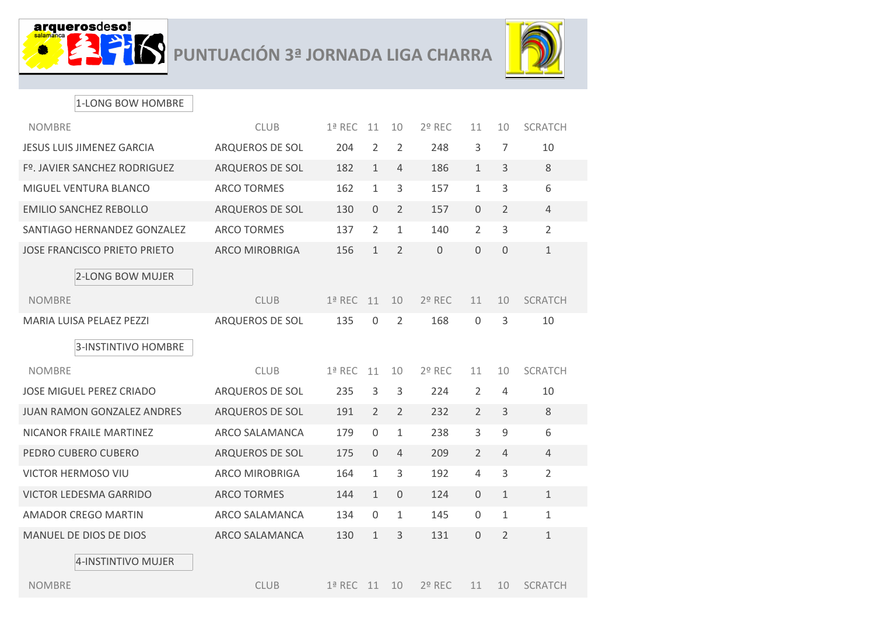



## 1-LONG BOW HOMBRE

| <b>NOMBRE</b>                       | <b>CLUB</b>           | $1a$ REC | 11             | 10             | $2°$ REC    | 11             | 10             | <b>SCRATCH</b> |
|-------------------------------------|-----------------------|----------|----------------|----------------|-------------|----------------|----------------|----------------|
| <b>JESUS LUIS JIMENEZ GARCIA</b>    | ARQUEROS DE SOL       | 204      | $\overline{2}$ | 2              | 248         | 3              | $\overline{7}$ | 10             |
| Fº. JAVIER SANCHEZ RODRIGUEZ        | ARQUEROS DE SOL       | 182      | $\mathbf{1}$   | 4              | 186         | $\mathbf{1}$   | 3              | 8              |
| MIGUEL VENTURA BLANCO               | <b>ARCO TORMES</b>    | 162      | $\mathbf{1}$   | 3              | 157         | $\mathbf{1}$   | 3              | 6              |
| <b>EMILIO SANCHEZ REBOLLO</b>       | ARQUEROS DE SOL       | 130      | $\mathbf{0}$   | $\overline{2}$ | 157         | $\overline{0}$ | $\overline{2}$ | $\overline{4}$ |
| SANTIAGO HERNANDEZ GONZALEZ         | <b>ARCO TORMES</b>    | 137      | $\overline{2}$ | $\mathbf{1}$   | 140         | $\overline{2}$ | 3              | 2              |
| <b>JOSE FRANCISCO PRIETO PRIETO</b> | <b>ARCO MIROBRIGA</b> | 156      | $\mathbf{1}$   | $\overline{2}$ | $\mathbf 0$ | $\overline{0}$ | $\Omega$       | $\mathbf{1}$   |
| 2-LONG BOW MUJER                    |                       |          |                |                |             |                |                |                |
| <b>NOMBRE</b>                       | <b>CLUB</b>           | $1a$ REC | 11             | 10             | $2°$ REC    | 11             | 10             | <b>SCRATCH</b> |
| <b>MARIA LUISA PELAEZ PEZZI</b>     | ARQUEROS DE SOL       | 135      | $\mathbf{0}$   | $\overline{2}$ | 168         | $\mathbf{0}$   | 3              | 10             |
| <b>3-INSTINTIVO HOMBRE</b>          |                       |          |                |                |             |                |                |                |
|                                     |                       |          |                |                |             |                |                |                |
| <b>NOMBRE</b>                       | <b>CLUB</b>           | $1a$ REC | 11             | 10             | 2º REC      | 11             | 10             | <b>SCRATCH</b> |
| <b>JOSE MIGUEL PEREZ CRIADO</b>     | ARQUEROS DE SOL       | 235      | 3              | 3              | 224         | 2              | 4              | 10             |
| <b>JUAN RAMON GONZALEZ ANDRES</b>   | ARQUEROS DE SOL       | 191      | $\overline{2}$ | 2              | 232         | $\overline{2}$ | 3              | 8              |
| NICANOR FRAILE MARTINEZ             | ARCO SALAMANCA        | 179      | $\mathbf{0}$   | $\mathbf{1}$   | 238         | 3              | 9              | 6              |
| PEDRO CUBERO CUBERO                 | ARQUEROS DE SOL       | 175      | $\Omega$       | 4              | 209         | $\overline{2}$ | $\overline{4}$ | $\overline{4}$ |
| VICTOR HERMOSO VIU                  | <b>ARCO MIROBRIGA</b> | 164      | $\mathbf{1}$   | $\overline{3}$ | 192         | $\overline{4}$ | 3              | $\overline{2}$ |
| <b>VICTOR LEDESMA GARRIDO</b>       | <b>ARCO TORMES</b>    | 144      | $\mathbf{1}$   | $\overline{0}$ | 124         | $\overline{0}$ | $\mathbf{1}$   | $\mathbf{1}$   |
| <b>AMADOR CREGO MARTIN</b>          | ARCO SALAMANCA        | 134      | $\Omega$       | $\mathbf{1}$   | 145         | $\Omega$       | 1              | $\mathbf{1}$   |
| MANUEL DE DIOS DE DIOS              | ARCO SALAMANCA        | 130      | $\mathbf{1}$   | 3              | 131         | $\overline{0}$ | 2              | $\mathbf{1}$   |
| 4-INSTINTIVO MUJER                  |                       |          |                |                |             |                |                |                |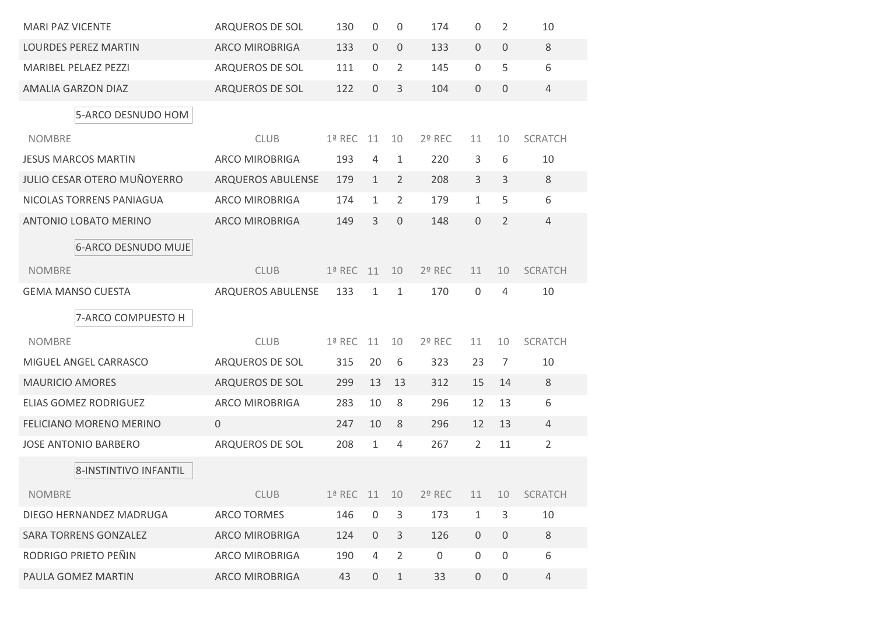| <b>MARI PAZ VICENTE</b>            | ARQUEROS DE SOL       | 130           | $\mathbf 0$    | 0              | 174         | $\Omega$       | 2              | 10             |
|------------------------------------|-----------------------|---------------|----------------|----------------|-------------|----------------|----------------|----------------|
| <b>LOURDES PEREZ MARTIN</b>        | <b>ARCO MIROBRIGA</b> | 133           | $\mathbf 0$    | $\overline{0}$ | 133         | $\mathbf 0$    | $\overline{0}$ | 8              |
| <b>MARIBEL PELAEZ PEZZI</b>        | ARQUEROS DE SOL       | 111           | $\Omega$       | 2              | 145         | $\Omega$       | 5              | 6              |
| <b>AMALIA GARZON DIAZ</b>          | ARQUEROS DE SOL       | 122           | $\Omega$       | 3              | 104         | $\Omega$       | $\Omega$       | $\overline{4}$ |
| 5-ARCO DESNUDO HOM                 |                       |               |                |                |             |                |                |                |
| <b>NOMBRE</b>                      | <b>CLUB</b>           | $1a$ REC      | 11             | 10             | $2°$ REC    | 11             | 10             | <b>SCRATCH</b> |
| <b>JESUS MARCOS MARTIN</b>         | <b>ARCO MIROBRIGA</b> | 193           | 4              | 1              | 220         | 3              | 6              | 10             |
| <b>JULIO CESAR OTERO MUÑOYERRO</b> | ARQUEROS ABULENSE     | 179           | $\mathbf{1}$   | 2              | 208         | 3              | 3              | 8              |
| NICOLAS TORRENS PANIAGUA           | <b>ARCO MIROBRIGA</b> | 174           | $\mathbf{1}$   | $\overline{2}$ | 179         | $\mathbf{1}$   | 5              | 6              |
| <b>ANTONIO LOBATO MERINO</b>       | <b>ARCO MIROBRIGA</b> | 149           | 3              | $\Omega$       | 148         | $\Omega$       | 2              | 4              |
| <b>6-ARCO DESNUDO MUJE</b>         |                       |               |                |                |             |                |                |                |
| <b>NOMBRE</b>                      | <b>CLUB</b>           | $1a$ REC      | 11             | 10             | $2°$ REC    | 11             | 10             | <b>SCRATCH</b> |
| <b>GEMA MANSO CUESTA</b>           | ARQUEROS ABULENSE     | 133           | 1              | $\mathbf{1}$   | 170         | $\mathbf 0$    | 4              | 10             |
| 7-ARCO COMPUESTO H                 |                       |               |                |                |             |                |                |                |
| <b>NOMBRE</b>                      | <b>CLUB</b>           | $1a$ REC      | 11             | 10             | $2°$ REC    | 11             | 10             | <b>SCRATCH</b> |
| MIGUEL ANGEL CARRASCO              | ARQUEROS DE SOL       | 315           | 20             | 6              | 323         | 23             | 7              | 10             |
| <b>MAURICIO AMORES</b>             | ARQUEROS DE SOL       | 299           | 13             | 13             | 312         | 15             | 14             | 8              |
| <b>ELIAS GOMEZ RODRIGUEZ</b>       | <b>ARCO MIROBRIGA</b> | 283           | 10             | 8              | 296         | 12             | 13             | 6              |
| <b>FELICIANO MORENO MERINO</b>     | $\overline{0}$        | 247           | 10             | 8              | 296         | 12             | 13             | 4              |
| <b>JOSE ANTONIO BARBERO</b>        | ARQUEROS DE SOL       | 208           | $\mathbf{1}$   | 4              | 267         | $\overline{2}$ | 11             | $\overline{2}$ |
| 8-INSTINTIVO INFANTIL              |                       |               |                |                |             |                |                |                |
|                                    |                       |               |                |                |             |                |                |                |
| <b>NOMBRE</b>                      | <b>CLUB</b>           | $1a$ REC $11$ |                | 10             | 2º REC      | 11             | 10             | <b>SCRATCH</b> |
| DIEGO HERNANDEZ MADRUGA            | <b>ARCO TORMES</b>    | 146           | $\mathbf 0$    | 3              | 173         | $\mathbf{1}$   | 3              | 10             |
| <b>SARA TORRENS GONZALEZ</b>       | <b>ARCO MIROBRIGA</b> | 124           | $\overline{0}$ | $\mathsf{3}$   | 126         | $\mathbf 0$    | $\mathbf 0$    | 8              |
| RODRIGO PRIETO PEÑIN               | <b>ARCO MIROBRIGA</b> | 190           | 4              | $\overline{2}$ | $\mathbf 0$ | $\mathbf 0$    | $\mathbf 0$    | 6              |